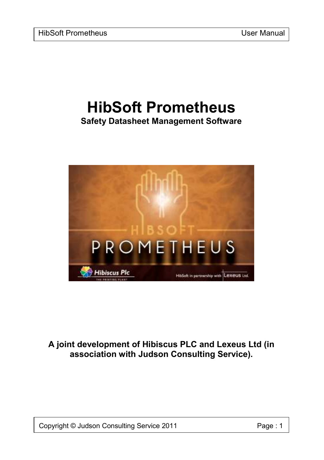# **HibSoft Prometheus Safety Datasheet Management Software**



## **A joint development of Hibiscus PLC and Lexeus Ltd (in association with Judson Consulting Service).**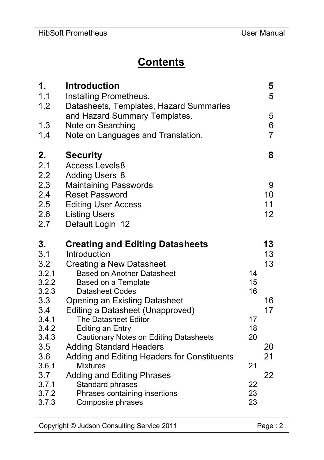# **Contents**

| 1.<br>1.1<br>1.2                | <b>Introduction</b><br>Installing Prometheus.<br>Datasheets, Templates, Hazard Summaries                                        |          | 5<br>5                   |
|---------------------------------|---------------------------------------------------------------------------------------------------------------------------------|----------|--------------------------|
| 1.3<br>1.4                      | and Hazard Summary Templates.<br>Note on Searching<br>Note on Languages and Translation.                                        |          | 5<br>6<br>$\overline{7}$ |
| 2.<br>2.1<br>2.2                | <b>Security</b><br><b>Access Levels8</b><br><b>Adding Users 8</b>                                                               |          | 8                        |
| 2.3<br>2.4<br>2.5<br>2.6<br>2.7 | <b>Maintaining Passwords</b><br><b>Reset Password</b><br><b>Editing User Access</b><br><b>Listing Users</b><br>Default Login 12 |          | 9<br>10<br>11<br>12      |
| 3.                              | <b>Creating and Editing Datasheets</b>                                                                                          |          | 13                       |
| 3.1                             | Introduction                                                                                                                    |          | 13                       |
| 3.2                             | Creating a New Datasheet                                                                                                        |          | 13                       |
| 3.2.1                           | <b>Based on Another Datasheet</b>                                                                                               | 14       |                          |
| 3.2.2                           | Based on a Template                                                                                                             | 15       |                          |
| 3.2.3<br>3.3                    | <b>Datasheet Codes</b>                                                                                                          | 16       | 16                       |
| 3.4                             | <b>Opening an Existing Datasheet</b><br>Editing a Datasheet (Unapproved)                                                        |          | 17                       |
| 3.4.1                           | The Datasheet Editor                                                                                                            | 17       |                          |
| 3.4.2                           | Editing an Entry                                                                                                                | 18       |                          |
| 3.4.3                           | Cautionary Notes on Editing Datasheets                                                                                          | 20       |                          |
| 3.5                             | <b>Adding Standard Headers</b>                                                                                                  |          | 20                       |
| 3.6                             | Adding and Editing Headers for Constituents                                                                                     |          | 21                       |
| 3.6.1                           | <b>Mixtures</b>                                                                                                                 | 21       |                          |
| 3.7                             | <b>Adding and Editing Phrases</b>                                                                                               |          | 22                       |
| 3.7.1<br>3.7.2                  | Standard phrases<br>Phrases containing insertions                                                                               | 22<br>23 |                          |
| 3.7.3                           | Composite phrases                                                                                                               | 23       |                          |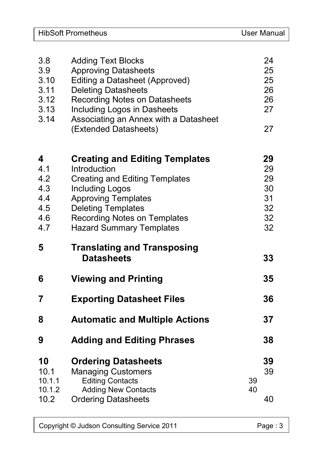| 3.8<br>3.9<br>3.10<br>3.11<br>3.12<br>3.13<br>3.14 | <b>Adding Text Blocks</b><br><b>Approving Datasheets</b><br>Editing a Datasheet (Approved)<br><b>Deleting Datasheets</b><br>Recording Notes on Datasheets<br>Including Logos in Dasheets<br>Associating an Annex with a Datasheet<br>(Extended Datasheets)    |          | 24<br>25<br>25<br>26<br>26<br>27<br>27       |
|----------------------------------------------------|---------------------------------------------------------------------------------------------------------------------------------------------------------------------------------------------------------------------------------------------------------------|----------|----------------------------------------------|
| 4<br>4.1<br>4.2<br>4.3<br>4.4<br>4.5<br>4.6<br>4.7 | <b>Creating and Editing Templates</b><br>Introduction<br><b>Creating and Editing Templates</b><br><b>Including Logos</b><br><b>Approving Templates</b><br><b>Deleting Templates</b><br><b>Recording Notes on Templates</b><br><b>Hazard Summary Templates</b> |          | 29<br>29<br>29<br>30<br>31<br>32<br>32<br>32 |
| 5                                                  | <b>Translating and Transposing</b><br><b>Datasheets</b>                                                                                                                                                                                                       |          | 33                                           |
| 6                                                  | <b>Viewing and Printing</b>                                                                                                                                                                                                                                   |          | 35                                           |
| 7                                                  | <b>Exporting Datasheet Files</b>                                                                                                                                                                                                                              |          | 36                                           |
| 8                                                  | <b>Automatic and Multiple Actions</b>                                                                                                                                                                                                                         |          | 37                                           |
| 9                                                  | <b>Adding and Editing Phrases</b>                                                                                                                                                                                                                             |          | 38                                           |
| 10<br>10.1<br>10.1.1<br>10.1.2<br>10.2             | <b>Ordering Datasheets</b><br><b>Managing Customers</b><br><b>Editing Contacts</b><br><b>Adding New Contacts</b><br><b>Ordering Datasheets</b>                                                                                                                | 39<br>40 | 39<br>39<br>40                               |
|                                                    |                                                                                                                                                                                                                                                               |          |                                              |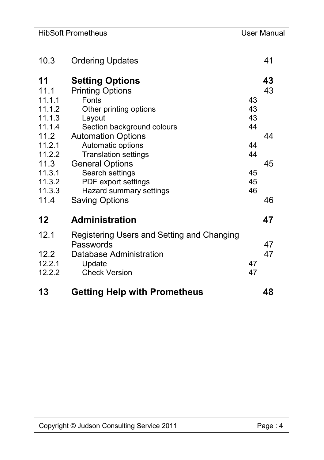|                  | <b>HibSoft Prometheus</b>                               |    | User Manual |
|------------------|---------------------------------------------------------|----|-------------|
|                  |                                                         |    |             |
| 10.3             | <b>Ordering Updates</b>                                 |    | 41          |
| 11               | <b>Setting Options</b>                                  |    | 43          |
| 11.1             | <b>Printing Options</b>                                 |    | 43          |
| 11.1.1           | <b>Fonts</b>                                            | 43 |             |
| 11.1.2           | Other printing options                                  | 43 |             |
| 11.1.3           | Layout                                                  | 43 |             |
| 11.1.4           | Section background colours                              | 44 |             |
| 11.2             | <b>Automation Options</b>                               |    | 44          |
| 11.2.1           | Automatic options                                       | 44 |             |
| 11.2.2           | <b>Translation settings</b>                             | 44 |             |
| 11.3             | <b>General Options</b>                                  |    | 45          |
| 11.3.1           | Search settings                                         | 45 |             |
| 11.3.2           | PDF export settings                                     | 45 |             |
| 11.3.3           | Hazard summary settings                                 | 46 |             |
| 11.4             | <b>Saving Options</b>                                   |    | 46          |
|                  |                                                         |    |             |
| 12               | <b>Administration</b>                                   |    | 47          |
| 12.1             | Registering Users and Setting and Changing<br>Passwords |    | 47          |
| 12.2             | Database Administration                                 |    | 47          |
|                  |                                                         | 47 |             |
| 12.2.1<br>12.2.2 | Update<br><b>Check Version</b>                          | 47 |             |
|                  |                                                         |    |             |
| 13               | <b>Getting Help with Prometheus</b>                     |    | 48          |

 $\overline{\phantom{a}}$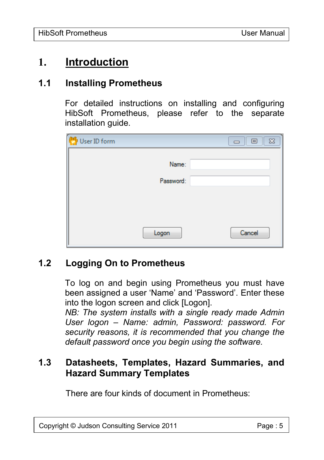# **1. Introduction**

#### **1.1 Installing Prometheus**

For detailed instructions on installing and configuring HibSoft Prometheus, please refer to the separate installation guide.

| User ID form | $\Sigma$<br>回<br>$\Box$ |
|--------------|-------------------------|
| Name:        |                         |
|              |                         |
| Password:    |                         |
|              |                         |
|              |                         |
|              |                         |
|              |                         |
| Logon        | Cancel                  |

## **1.2 Logging On to Prometheus**

To log on and begin using Prometheus you must have been assigned a user 'Name' and 'Password'. Enter these into the logon screen and click [Logon].

*NB: The system installs with a single ready made Admin User logon – Name: admin, Password: password. For security reasons, it is recommended that you change the default password once you begin using the software.*

# **1.3 Datasheets, Templates, Hazard Summaries, and Hazard Summary Templates**

There are four kinds of document in Prometheus: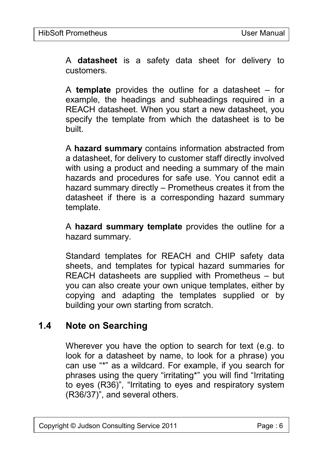A **datasheet** is a safety data sheet for delivery to customers.

A **template** provides the outline for a datasheet – for example, the headings and subheadings required in a REACH datasheet. When you start a new datasheet, you specify the template from which the datasheet is to be built.

A **hazard summary** contains information abstracted from a datasheet, for delivery to customer staff directly involved with using a product and needing a summary of the main hazards and procedures for safe use. You cannot edit a hazard summary directly – Prometheus creates it from the datasheet if there is a corresponding hazard summary template.

A **hazard summary template** provides the outline for a hazard summary.

Standard templates for REACH and CHIP safety data sheets, and templates for typical hazard summaries for REACH datasheets are supplied with Prometheus – but you can also create your own unique templates, either by copying and adapting the templates supplied or by building your own starting from scratch.

## **1.4 Note on Searching**

Wherever you have the option to search for text (e.g. to look for a datasheet by name, to look for a phrase) you can use "\*" as a wildcard. For example, if you search for phrases using the query "irritating\*" you will find "Irritating to eyes (R36)", "Irritating to eyes and respiratory system (R36/37)", and several others.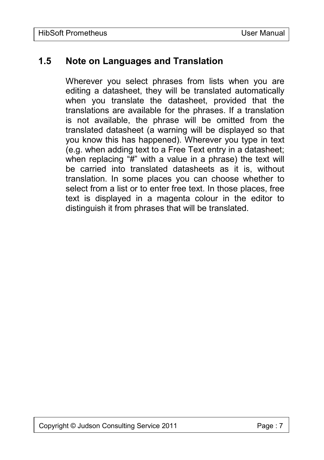## **1.5 Note on Languages and Translation**

Wherever you select phrases from lists when you are editing a datasheet, they will be translated automatically when you translate the datasheet, provided that the translations are available for the phrases. If a translation is not available, the phrase will be omitted from the translated datasheet (a warning will be displayed so that you know this has happened). Wherever you type in text (e.g. when adding text to a Free Text entry in a datasheet; when replacing "#" with a value in a phrase) the text will be carried into translated datasheets as it is, without translation. In some places you can choose whether to select from a list or to enter free text. In those places, free text is displayed in a magenta colour in the editor to distinguish it from phrases that will be translated.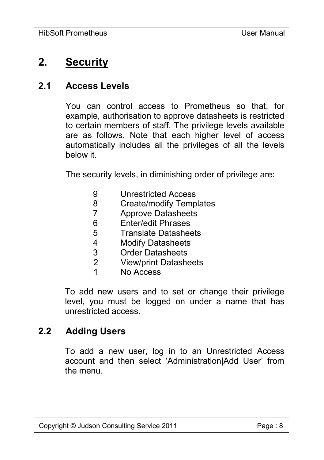# **2. Security**

#### **2.1 Access Levels**

You can control access to Prometheus so that, for example, authorisation to approve datasheets is restricted to certain members of staff. The privilege levels available are as follows. Note that each higher level of access automatically includes all the privileges of all the levels below it.

The security levels, in diminishing order of privilege are:

- 9 Unrestricted Access
- 8 Create/modify Templates
- 7 Approve Datasheets
- 6 Enter/edit Phrases<br>5 Translate Datashee
- 5 Translate Datasheets
- 4 Modify Datasheets<br>3 Order Datasheets
- Order Datasheets
- 2 View/print Datasheets
- 1 No Access

To add new users and to set or change their privilege level, you must be logged on under a name that has unrestricted access.

## **2.2 Adding Users**

To add a new user, log in to an Unrestricted Access account and then select 'Administration|Add User' from the menu.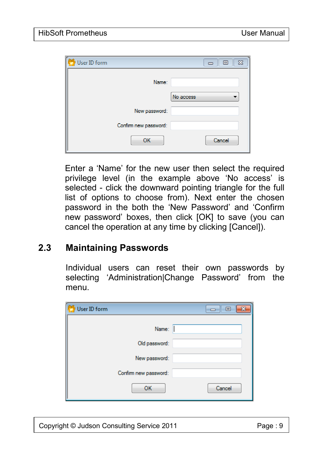| User ID form<br>$\Sigma$<br>回<br>$\equiv$ |
|-------------------------------------------|
| Name:                                     |
| No access<br>$\blacksquare$               |
| New password:                             |
| Confirm new password:                     |
| Cancel<br>OK.                             |

Enter a 'Name' for the new user then select the required privilege level (in the example above 'No access' is selected - click the downward pointing triangle for the full list of options to choose from). Next enter the chosen password in the both the 'New Password' and 'Confirm new password' boxes, then click [OK] to save (you can cancel the operation at any time by clicking [Cancel]).

## **2.3 Maintaining Passwords**

Individual users can reset their own passwords by selecting 'Administration|Change Password' from the menu.

| User ID form          | æ<br>▣ |
|-----------------------|--------|
|                       | Name:  |
| Old password:         |        |
| New password:         |        |
| Confirm new password: |        |
| OK                    | Cancel |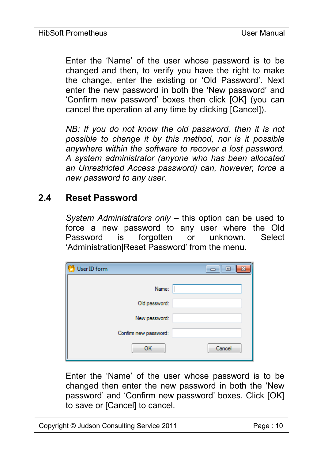Enter the 'Name' of the user whose password is to be changed and then, to verify you have the right to make the change, enter the existing or 'Old Password'. Next enter the new password in both the 'New password' and 'Confirm new password' boxes then click [OK] (you can cancel the operation at any time by clicking [Cancel]).

*NB: If you do not know the old password, then it is not possible to change it by this method, nor is it possible anywhere within the software to recover a lost password. A system administrator (anyone who has been allocated an Unrestricted Access password) can, however, force a new password to any user.*

#### **2.4 Reset Password**

*System Administrators only* – this option can be used to force a new password to any user where the Old Password is forgotten or unknown. Select 'Administration|Reset Password' from the menu.

| User ID form          | ▣<br>x |
|-----------------------|--------|
| Name:                 |        |
| Old password:         |        |
| New password:         |        |
| Confirm new password: |        |
| OK                    | Cancel |

Enter the 'Name' of the user whose password is to be changed then enter the new password in both the 'New password' and 'Confirm new password' boxes. Click [OK] to save or [Cancel] to cancel.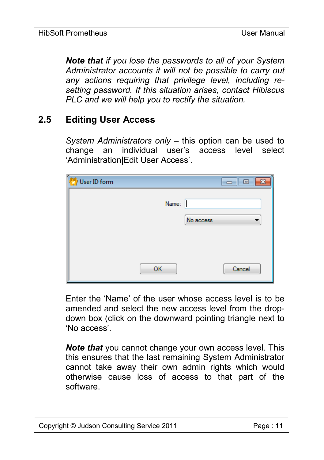*Note that if you lose the passwords to all of your System Administrator accounts it will not be possible to carry out any actions requiring that privilege level, including resetting password. If this situation arises, contact Hibiscus PLC and we will help you to rectify the situation.*

## **2.5 Editing User Access**

*System Administrators only* – this option can be used to change an individual user's access level select 'Administration|Edit User Access'.

| User ID form | $\mathbf{z}$<br>回<br>▭ |
|--------------|------------------------|
| Name:        |                        |
|              | No access              |
|              |                        |
| OK           | Cancel                 |

Enter the 'Name' of the user whose access level is to be amended and select the new access level from the dropdown box (click on the downward pointing triangle next to 'No access'.

*Note that* you cannot change your own access level. This this ensures that the last remaining System Administrator cannot take away their own admin rights which would otherwise cause loss of access to that part of the software.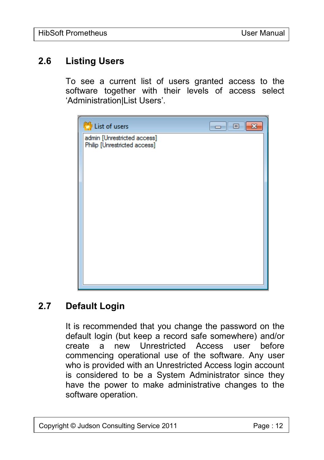# **2.6 Listing Users**

To see a current list of users granted access to the software together with their levels of access select 'Administration|List Users'.



## **2.7 Default Login**

It is recommended that you change the password on the default login (but keep a record safe somewhere) and/or create a new Unrestricted Access user before commencing operational use of the software. Any user who is provided with an Unrestricted Access login account is considered to be a System Administrator since they have the power to make administrative changes to the software operation.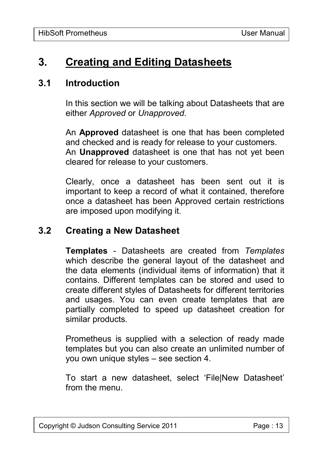# **3. Creating and Editing Datasheets**

#### **3.1 Introduction**

In this section we will be talking about Datasheets that are either *Approved* or *Unapproved*.

An **Approved** datasheet is one that has been completed and checked and is ready for release to your customers. An **Unapproved** datasheet is one that has not yet been cleared for release to your customers.

Clearly, once a datasheet has been sent out it is important to keep a record of what it contained, therefore once a datasheet has been Approved certain restrictions are imposed upon modifying it.

#### **3.2 Creating a New Datasheet**

**Templates** - Datasheets are created from *Templates* which describe the general layout of the datasheet and the data elements (individual items of information) that it contains. Different templates can be stored and used to create different styles of Datasheets for different territories and usages. You can even create templates that are partially completed to speed up datasheet creation for similar products.

Prometheus is supplied with a selection of ready made templates but you can also create an unlimited number of you own unique styles – see section 4.

To start a new datasheet, select 'File|New Datasheet' from the menu.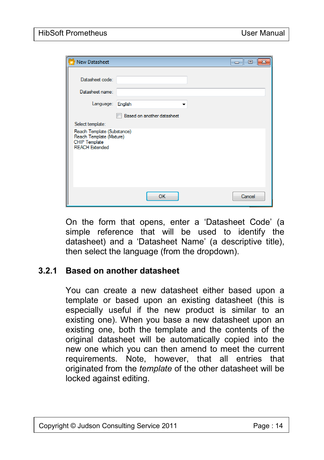| New Datasheet                                                                                           |                            | $\Box$<br>- 8 - 1 - |
|---------------------------------------------------------------------------------------------------------|----------------------------|---------------------|
| Datasheet code:                                                                                         |                            |                     |
| Datasheet name:                                                                                         |                            |                     |
| Language: English                                                                                       | $\blacksquare$             |                     |
|                                                                                                         | Based on another datasheet |                     |
| Select template:                                                                                        |                            |                     |
| Reach Template (Substance)<br>Reach Template (Mixture)<br><b>CHIP Template</b><br><b>REACH Extended</b> |                            |                     |
|                                                                                                         | OK.                        | Cancel              |

On the form that opens, enter a 'Datasheet Code' (a simple reference that will be used to identify the datasheet) and a 'Datasheet Name' (a descriptive title), then select the language (from the dropdown).

#### **3.2.1 Based on another datasheet**

You can create a new datasheet either based upon a template or based upon an existing datasheet (this is especially useful if the new product is similar to an existing one). When you base a new datasheet upon an existing one, both the template and the contents of the original datasheet will be automatically copied into the new one which you can then amend to meet the current requirements. Note, however, that all entries that originated from the *template* of the other datasheet will be locked against editing.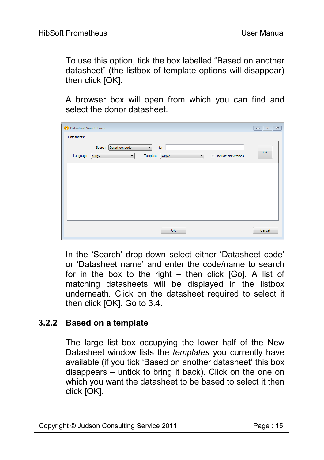To use this option, tick the box labelled "Based on another datasheet" (the listbox of template options will disappear) then click [OK].

A browser box will open from which you can find and select the donor datasheet.

| Datasheet Search Form                                                                                                                                                                             |        |
|---------------------------------------------------------------------------------------------------------------------------------------------------------------------------------------------------|--------|
| Datasheets:                                                                                                                                                                                       |        |
| Search Datasheet code<br>for<br>$\cdot$                                                                                                                                                           | Go     |
| Template:<br>$\Box$<br>Language:<br>Include old versions<br><any><br/><any><br/><math display="inline">\blacktriangledown</math><br/><math display="inline">\blacktriangledown</math></any></any> |        |
|                                                                                                                                                                                                   |        |
|                                                                                                                                                                                                   |        |
|                                                                                                                                                                                                   |        |
|                                                                                                                                                                                                   |        |
|                                                                                                                                                                                                   |        |
|                                                                                                                                                                                                   |        |
|                                                                                                                                                                                                   |        |
| OK                                                                                                                                                                                                | Cancel |

In the 'Search' drop-down select either 'Datasheet code' or 'Datasheet name' and enter the code/name to search for in the box to the right – then click [Go]. A list of matching datasheets will be displayed in the listbox underneath. Click on the datasheet required to select it then click [OK]. Go to 3.4.

#### **3.2.2 Based on a template**

The large list box occupying the lower half of the New Datasheet window lists the *templates* you currently have available (if you tick 'Based on another datasheet' this box disappears – untick to bring it back). Click on the one on which you want the datasheet to be based to select it then click [OK].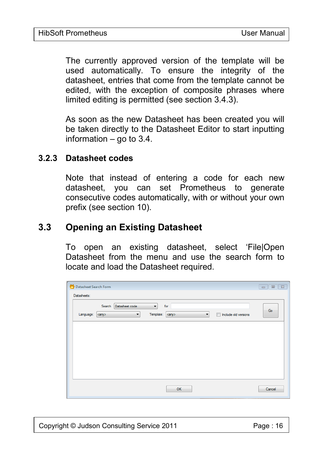The currently approved version of the template will be used automatically. To ensure the integrity of the datasheet, entries that come from the template cannot be edited, with the exception of composite phrases where limited editing is permitted (see section 3.4.3).

As soon as the new Datasheet has been created you will be taken directly to the Datasheet Editor to start inputting information  $-$  go to 3.4.

#### **3.2.3 Datasheet codes**

Note that instead of entering a code for each new datasheet, you can set Prometheus to generate consecutive codes automatically, with or without your own prefix (see section 10).

## **3.3 Opening an Existing Datasheet**

To open an existing datasheet, select 'File|Open Datasheet from the menu and use the search form to locate and load the Datasheet required.

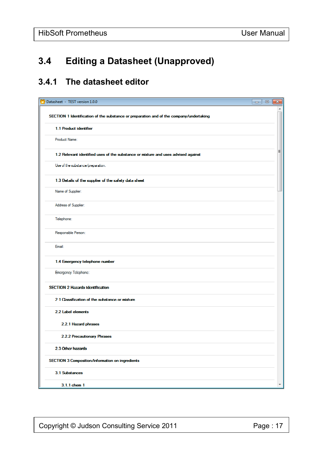# **3.4 Editing a Datasheet (Unapproved)**

## **3.4.1 The datasheet editor**

| Datasheet - TEST version 1.0.0                                                          | 画<br>- 1 |   |
|-----------------------------------------------------------------------------------------|----------|---|
| SECTION 1 Identification of the substance or preparation and of the company/undertaking |          |   |
| 1.1 Product identifier                                                                  |          |   |
| Product Name:                                                                           |          |   |
| 1.2 Relevant identified uses of the substance or mixture and uses advised against       |          | Ξ |
| Use of the substance/preparation:                                                       |          |   |
| 1.3 Details of the supplier of the safety data sheet                                    |          |   |
| Name of Supplier:                                                                       |          |   |
| Address of Supplier:                                                                    |          |   |
| Telephone:                                                                              |          |   |
| Responsible Person:                                                                     |          |   |
| Email:                                                                                  |          |   |
| 1.4 Emergency telephone number                                                          |          |   |
| Emergency Telephone.                                                                    |          |   |
| <b>SECTION 2 Hazards identification</b>                                                 |          |   |
| 2.1 Classification of the substance or mixture                                          |          |   |
| 2.2 Label elements                                                                      |          |   |
| 2.2.1 Hazard phrases                                                                    |          |   |
| 2.2.2 Precautionary Phrases                                                             |          |   |
| 2.3 Other hazards                                                                       |          |   |
| SECTION 3 Composition/information on ingredients                                        |          |   |
| 3.1 Substances                                                                          |          |   |
| 3.1.1 chem 1                                                                            |          |   |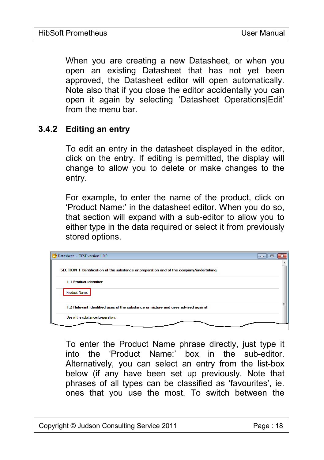When you are creating a new Datasheet, or when you open an existing Datasheet that has not yet been approved, the Datasheet editor will open automatically. Note also that if you close the editor accidentally you can open it again by selecting 'Datasheet Operations|Edit' from the menu bar.

#### **3.4.2 Editing an entry**

To edit an entry in the datasheet displayed in the editor, click on the entry. If editing is permitted, the display will change to allow you to delete or make changes to the entry.

For example, to enter the name of the product, click on 'Product Name:' in the datasheet editor. When you do so, that section will expand with a sub-editor to allow you to either type in the data required or select it from previously stored options.

| Datasheet - TEST version 1.0.0                                                          | E<br>$\Box$ |
|-----------------------------------------------------------------------------------------|-------------|
| SECTION 1 Identification of the substance or preparation and of the company/undertaking |             |
| 1.1 Product Identifier                                                                  |             |
| Product Name:                                                                           |             |
| 1.2 Relevant identified uses of the substance or mixture and uses advised against       | Ξ           |
| Use of the substance/preparation:                                                       |             |

To enter the Product Name phrase directly, just type it into the 'Product Name:' box in the sub-editor. Alternatively, you can select an entry from the list-box below (if any have been set up previously. Note that phrases of all types can be classified as 'favourites', ie. ones that you use the most. To switch between the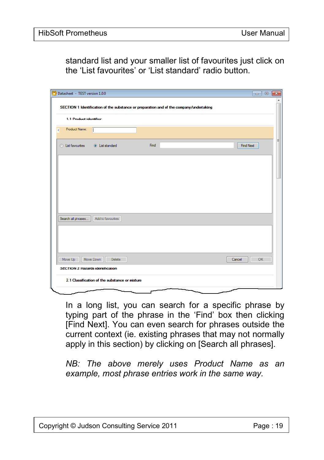standard list and your smaller list of favourites just click on the 'List favourites' or 'List standard' radio button.

| Datasheet - TEST version 1.0.0 |                                                                                         |                                                |      |  |           | $\mathbf{x}$<br>$\overline{\phantom{a}}$ $\overline{\phantom{a}}$ |  |
|--------------------------------|-----------------------------------------------------------------------------------------|------------------------------------------------|------|--|-----------|-------------------------------------------------------------------|--|
|                                |                                                                                         |                                                |      |  |           | ▴                                                                 |  |
|                                | SECTION 1 Identification of the substance or preparation and of the company/undertaking |                                                |      |  |           |                                                                   |  |
|                                | 1.1 Product identifier                                                                  |                                                |      |  |           |                                                                   |  |
| Product Name:<br>⋖             |                                                                                         |                                                |      |  |           |                                                                   |  |
|                                |                                                                                         |                                                |      |  |           | Ξ                                                                 |  |
| <b>C</b> List favourites       |                                                                                         | <b>O</b> List standard                         | Find |  | Find Next |                                                                   |  |
|                                |                                                                                         |                                                |      |  |           |                                                                   |  |
|                                |                                                                                         |                                                |      |  |           |                                                                   |  |
|                                |                                                                                         |                                                |      |  |           |                                                                   |  |
|                                |                                                                                         |                                                |      |  |           |                                                                   |  |
|                                |                                                                                         |                                                |      |  |           |                                                                   |  |
|                                |                                                                                         |                                                |      |  |           |                                                                   |  |
|                                |                                                                                         |                                                |      |  |           |                                                                   |  |
| Search all phrases             |                                                                                         | Add to favourites                              |      |  |           |                                                                   |  |
|                                |                                                                                         |                                                |      |  |           |                                                                   |  |
|                                |                                                                                         |                                                |      |  |           |                                                                   |  |
|                                |                                                                                         |                                                |      |  |           |                                                                   |  |
| Move Up                        | Move Down                                                                               | Delete                                         |      |  | Cancel    | OK                                                                |  |
|                                |                                                                                         | <b>SECTION 2 Hazards Identification</b>        |      |  |           |                                                                   |  |
|                                |                                                                                         | 2.1 Classification of the substance or mixture |      |  |           |                                                                   |  |
|                                |                                                                                         |                                                |      |  |           |                                                                   |  |

In a long list, you can search for a specific phrase by typing part of the phrase in the 'Find' box then clicking [Find Next]. You can even search for phrases outside the current context (ie. existing phrases that may not normally apply in this section) by clicking on [Search all phrases].

*NB: The above merely uses Product Name as an example, most phrase entries work in the same way.*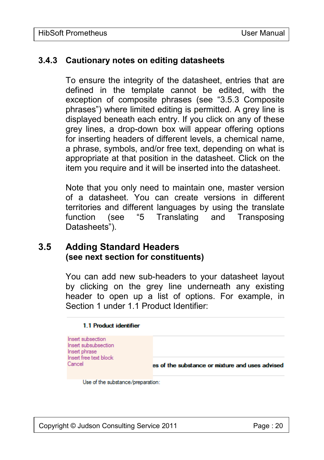#### **3.4.3 Cautionary notes on editing datasheets**

To ensure the integrity of the datasheet, entries that are defined in the template cannot be edited, with the exception of composite phrases (see "3.5.3 Composite phrases") where limited editing is permitted. A grey line is displayed beneath each entry. If you click on any of these grey lines, a drop-down box will appear offering options for inserting headers of different levels, a chemical name, a phrase, symbols, and/or free text, depending on what is appropriate at that position in the datasheet. Click on the item you require and it will be inserted into the datasheet.

Note that you only need to maintain one, master version of a datasheet. You can create versions in different territories and different languages by using the translate function (see "5 Translating and Transposing Datasheets").

## **3.5 Adding Standard Headers (see next section for constituents)**

You can add new sub-headers to your datasheet layout by clicking on the grey line underneath any existing header to open up a list of options. For example, in Section 1 under 1.1 Product Identifier:

#### 1.1 Product identifier

Insert subsection Insert subsubsection Insert phrase Insert free text block Cancel

es of the substance or mixture and uses advised

Use of the substance/preparation: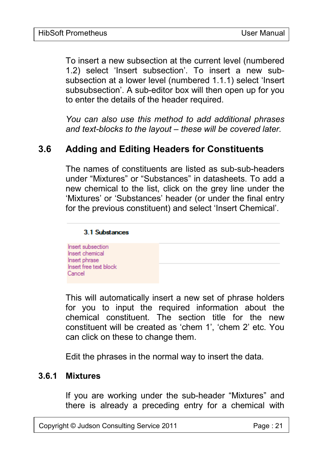To insert a new subsection at the current level (numbered 1.2) select 'Insert subsection'. To insert a new subsubsection at a lower level (numbered 1.1.1) select 'Insert subsubsection'. A sub-editor box will then open up for you to enter the details of the header required.

*You can also use this method to add additional phrases and text-blocks to the layout – these will be covered later.*

# **3.6 Adding and Editing Headers for Constituents**

The names of constituents are listed as sub-sub-headers under "Mixtures" or "Substances" in datasheets. To add a new chemical to the list, click on the grey line under the 'Mixtures' or 'Substances' header (or under the final entry for the previous constituent) and select 'Insert Chemical'.



This will automatically insert a new set of phrase holders for you to input the required information about the chemical constituent. The section title for the new constituent will be created as 'chem 1', 'chem 2' etc. You can click on these to change them.

Edit the phrases in the normal way to insert the data.

#### **3.6.1 Mixtures**

If you are working under the sub-header "Mixtures" and there is already a preceding entry for a chemical with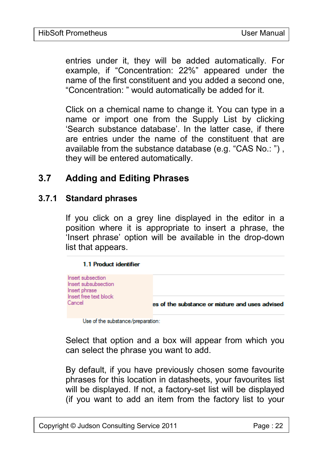entries under it, they will be added automatically. For example, if "Concentration: 22%" appeared under the name of the first constituent and you added a second one, "Concentration: " would automatically be added for it.

Click on a chemical name to change it. You can type in a name or import one from the Supply List by clicking 'Search substance database'. In the latter case, if there are entries under the name of the constituent that are available from the substance database (e.g. "CAS No.: ") , they will be entered automatically.

# **3.7 Adding and Editing Phrases**

#### **3.7.1 Standard phrases**

If you click on a grey line displayed in the editor in a position where it is appropriate to insert a phrase, the 'Insert phrase' option will be available in the drop-down list that appears.



Use of the substance/preparation:

Select that option and a box will appear from which you can select the phrase you want to add.

By default, if you have previously chosen some favourite phrases for this location in datasheets, your favourites list will be displayed. If not, a factory-set list will be displayed (if you want to add an item from the factory list to your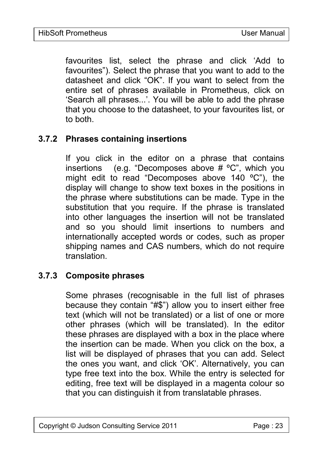favourites list, select the phrase and click 'Add to favourites"). Select the phrase that you want to add to the datasheet and click "OK". If you want to select from the entire set of phrases available in Prometheus, click on 'Search all phrases...'. You will be able to add the phrase that you choose to the datasheet, to your favourites list, or to both.

#### **3.7.2 Phrases containing insertions**

If you click in the editor on a phrase that contains insertions (e.g. "Decomposes above # ºC", which you might edit to read "Decomposes above 140 ºC"), the display will change to show text boxes in the positions in the phrase where substitutions can be made. Type in the substitution that you require. If the phrase is translated into other languages the insertion will not be translated and so you should limit insertions to numbers and internationally accepted words or codes, such as proper shipping names and CAS numbers, which do not require translation.

#### **3.7.3 Composite phrases**

Some phrases (recognisable in the full list of phrases because they contain "#\$") allow you to insert either free text (which will not be translated) or a list of one or more other phrases (which will be translated). In the editor these phrases are displayed with a box in the place where the insertion can be made. When you click on the box, a list will be displayed of phrases that you can add. Select the ones you want, and click 'OK'. Alternatively, you can type free text into the box. While the entry is selected for editing, free text will be displayed in a magenta colour so that you can distinguish it from translatable phrases.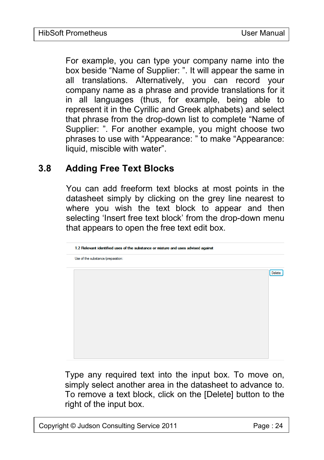For example, you can type your company name into the box beside "Name of Supplier: ". It will appear the same in all translations. Alternatively, you can record your company name as a phrase and provide translations for it in all languages (thus, for example, being able to represent it in the Cyrillic and Greek alphabets) and select that phrase from the drop-down list to complete "Name of Supplier: ". For another example, you might choose two phrases to use with "Appearance: " to make "Appearance: liquid, miscible with water".

## **3.8 Adding Free Text Blocks**

You can add freeform text blocks at most points in the datasheet simply by clicking on the grey line nearest to where you wish the text block to appear and then selecting 'Insert free text block' from the drop-down menu that appears to open the free text edit box.



Type any required text into the input box. To move on, simply select another area in the datasheet to advance to. To remove a text block, click on the [Delete] button to the right of the input box.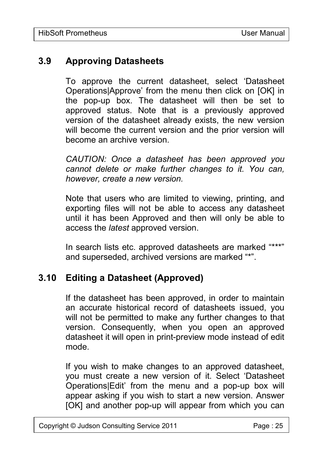## **3.9 Approving Datasheets**

To approve the current datasheet, select 'Datasheet Operations|Approve' from the menu then click on [OK] in the pop-up box. The datasheet will then be set to approved status. Note that is a previously approved version of the datasheet already exists, the new version will become the current version and the prior version will become an archive version.

*CAUTION: Once a datasheet has been approved you cannot delete or make further changes to it. You can, however, create a new version.*

Note that users who are limited to viewing, printing, and exporting files will not be able to access any datasheet until it has been Approved and then will only be able to access the *latest* approved version.

In search lists etc. approved datasheets are marked "\*\*\*" and superseded, archived versions are marked "\*".

## **3.10 Editing a Datasheet (Approved)**

If the datasheet has been approved, in order to maintain an accurate historical record of datasheets issued, you will not be permitted to make any further changes to that version. Consequently, when you open an approved datasheet it will open in print-preview mode instead of edit mode.

If you wish to make changes to an approved datasheet, you must create a new version of it. Select 'Datasheet Operations|Edit' from the menu and a pop-up box will appear asking if you wish to start a new version. Answer [OK] and another pop-up will appear from which you can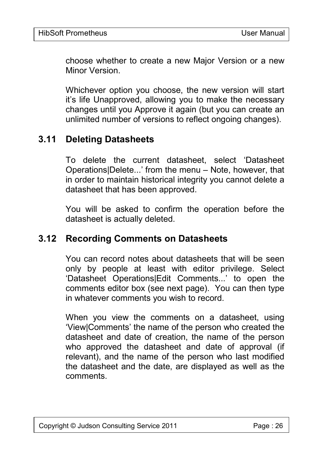choose whether to create a new Major Version or a new Minor Version.

Whichever option you choose, the new version will start it's life Unapproved, allowing you to make the necessary changes until you Approve it again (but you can create an unlimited number of versions to reflect ongoing changes).

## **3.11 Deleting Datasheets**

To delete the current datasheet, select 'Datasheet Operations|Delete...' from the menu – Note, however, that in order to maintain historical integrity you cannot delete a datasheet that has been approved.

You will be asked to confirm the operation before the datasheet is actually deleted.

## **3.12 Recording Comments on Datasheets**

You can record notes about datasheets that will be seen only by people at least with editor privilege. Select 'Datasheet Operations|Edit Comments...' to open the comments editor box (see next page). You can then type in whatever comments you wish to record.

When you view the comments on a datasheet, using 'View|Comments' the name of the person who created the datasheet and date of creation, the name of the person who approved the datasheet and date of approval (if relevant), and the name of the person who last modified the datasheet and the date, are displayed as well as the comments.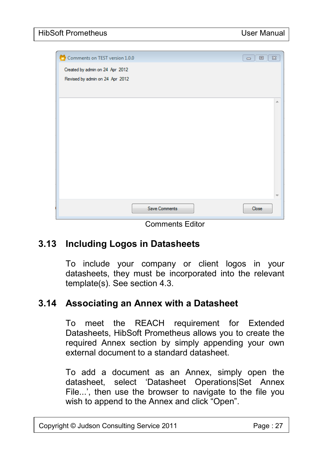| Comments on TEST version 1.0.0  |                      | $\Sigma\!3$<br>回<br>$\Box$ |
|---------------------------------|----------------------|----------------------------|
| Created by admin on 24 Apr 2012 |                      |                            |
| Revised by admin on 24 Apr 2012 |                      |                            |
|                                 |                      |                            |
|                                 |                      | ×.                         |
|                                 |                      |                            |
|                                 |                      |                            |
|                                 |                      |                            |
|                                 |                      |                            |
|                                 |                      |                            |
|                                 |                      |                            |
|                                 |                      |                            |
|                                 |                      |                            |
|                                 | <b>Save Comments</b> | Close                      |
|                                 |                      |                            |

Comments Editor

## **3.13 Including Logos in Datasheets**

To include your company or client logos in your datasheets, they must be incorporated into the relevant template(s). See section 4.3.

## **3.14 Associating an Annex with a Datasheet**

To meet the REACH requirement for Extended Datasheets, HibSoft Prometheus allows you to create the required Annex section by simply appending your own external document to a standard datasheet.

To add a document as an Annex, simply open the datasheet, select 'Datasheet Operations|Set Annex File...', then use the browser to navigate to the file you wish to append to the Annex and click "Open".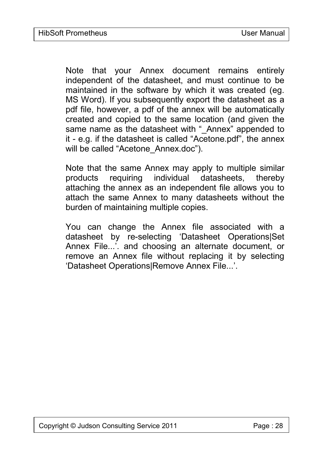Note that your Annex document remains entirely independent of the datasheet, and must continue to be maintained in the software by which it was created (eg. MS Word). If you subsequently export the datasheet as a pdf file, however, a pdf of the annex will be automatically created and copied to the same location (and given the same name as the datasheet with " Annex" appended to it - e.g. if the datasheet is called "Acetone.pdf", the annex will be called "Acetone Annex.doc").

Note that the same Annex may apply to multiple similar products requiring individual datasheets, thereby attaching the annex as an independent file allows you to attach the same Annex to many datasheets without the burden of maintaining multiple copies.

You can change the Annex file associated with a datasheet by re-selecting 'Datasheet Operations|Set Annex File...'. and choosing an alternate document, or remove an Annex file without replacing it by selecting 'Datasheet Operations|Remove Annex File...'.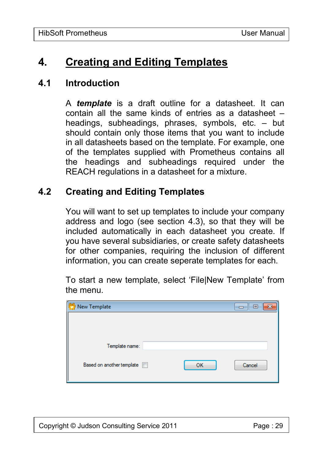# **4. Creating and Editing Templates**

#### **4.1 Introduction**

A *template* is a draft outline for a datasheet. It can contain all the same kinds of entries as a datasheet – headings, subheadings, phrases, symbols, etc. – but should contain only those items that you want to include in all datasheets based on the template. For example, one of the templates supplied with Prometheus contains all the headings and subheadings required under the REACH regulations in a datasheet for a mixture.

## **4.2 Creating and Editing Templates**

You will want to set up templates to include your company address and logo (see section 4.3), so that they will be included automatically in each datasheet you create. If you have several subsidiaries, or create safety datasheets for other companies, requiring the inclusion of different information, you can create seperate templates for each.

To start a new template, select 'File|New Template' from the menu.

| New Template              |    | $=$    |  |
|---------------------------|----|--------|--|
|                           |    |        |  |
|                           |    |        |  |
|                           |    |        |  |
| Template name:            |    |        |  |
| Based on another template | OK | Cancel |  |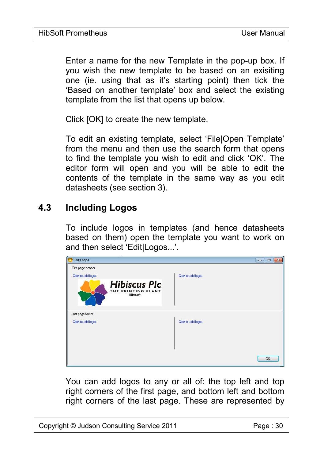Enter a name for the new Template in the pop-up box. If you wish the new template to be based on an exisiting one (ie. using that as it's starting point) then tick the 'Based on another template' box and select the existing template from the list that opens up below.

Click [OK] to create the new template.

To edit an existing template, select 'File|Open Template' from the menu and then use the search form that opens to find the template you wish to edit and click 'OK'. The editor form will open and you will be able to edit the contents of the template in the same way as you edit datasheets (see section 3).

# **4.3 Including Logos**

To include logos in templates (and hence datasheets based on them) open the template you want to work on and then select 'Edit|Logos...'.

| <b>Edit Logos</b>                                    | $-6$ $-8$          |
|------------------------------------------------------|--------------------|
| First page header                                    |                    |
| Click to add logos                                   | Click to add logos |
| <b>Hibiscus Plc</b><br>THE PRINTING PLANT<br>Hibsoft |                    |
| Last page footer                                     |                    |
| Click to add logos                                   | Click to add logos |
|                                                      |                    |
|                                                      |                    |
|                                                      |                    |
|                                                      | <b>OK</b>          |

You can add logos to any or all of: the top left and top right corners of the first page, and bottom left and bottom right corners of the last page. These are represented by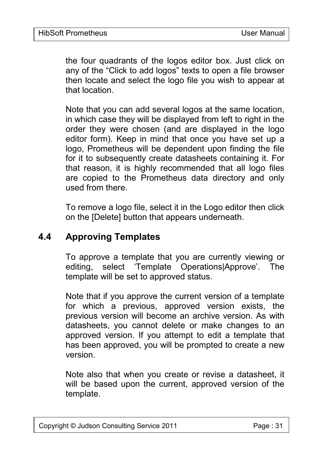the four quadrants of the logos editor box. Just click on any of the "Click to add logos" texts to open a file browser then locate and select the logo file you wish to appear at that location.

Note that you can add several logos at the same location, in which case they will be displayed from left to right in the order they were chosen (and are displayed in the logo editor form). Keep in mind that once you have set up a logo, Prometheus will be dependent upon finding the file for it to subsequently create datasheets containing it. For that reason, it is highly recommended that all logo files are copied to the Prometheus data directory and only used from there.

To remove a logo file, select it in the Logo editor then click on the [Delete] button that appears underneath.

## **4.4 Approving Templates**

To approve a template that you are currently viewing or editing, select 'Template Operations|Approve'. The template will be set to approved status.

Note that if you approve the current version of a template for which a previous, approved version exists, the previous version will become an archive version. As with datasheets, you cannot delete or make changes to an approved version. If you attempt to edit a template that has been approved, you will be prompted to create a new version.

Note also that when you create or revise a datasheet, it will be based upon the current, approved version of the template.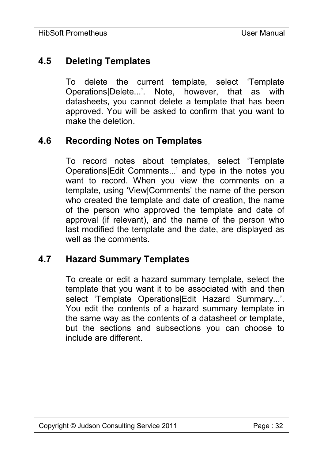# **4.5 Deleting Templates**

To delete the current template, select 'Template Operations|Delete...'. Note, however, that as with datasheets, you cannot delete a template that has been approved. You will be asked to confirm that you want to make the deletion.

## **4.6 Recording Notes on Templates**

To record notes about templates, select 'Template Operations|Edit Comments...' and type in the notes you want to record. When you view the comments on a template, using 'View|Comments' the name of the person who created the template and date of creation, the name of the person who approved the template and date of approval (if relevant), and the name of the person who last modified the template and the date, are displayed as well as the comments.

## **4.7 Hazard Summary Templates**

To create or edit a hazard summary template, select the template that you want it to be associated with and then select 'Template Operations|Edit Hazard Summary...'. You edit the contents of a hazard summary template in the same way as the contents of a datasheet or template, but the sections and subsections you can choose to include are different.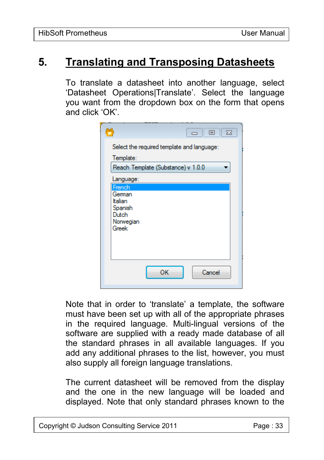# **5. Translating and Transposing Datasheets**

To translate a datasheet into another language, select 'Datasheet Operations|Translate'. Select the language you want from the dropdown box on the form that opens and click 'OK'.

| W<br>- 0<br>$\Sigma$                            |
|-------------------------------------------------|
| Select the required template and language:      |
| Template:<br>Reach Template (Substance) v 1.0.0 |
| Language:<br>French                             |
| German<br>Italian<br>Spanish                    |
| Dutch<br>Norwegian<br>Greek                     |
|                                                 |
|                                                 |
| OК<br>Cancel                                    |

Note that in order to 'translate' a template, the software must have been set up with all of the appropriate phrases in the required language. Multi-lingual versions of the software are supplied with a ready made database of all the standard phrases in all available languages. If you add any additional phrases to the list, however, you must also supply all foreign language translations.

The current datasheet will be removed from the display and the one in the new language will be loaded and displayed. Note that only standard phrases known to the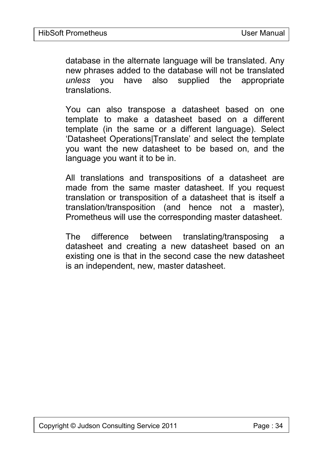database in the alternate language will be translated. Any new phrases added to the database will not be translated *unless* you have also supplied the appropriate translations.

You can also transpose a datasheet based on one template to make a datasheet based on a different template (in the same or a different language). Select 'Datasheet Operations|Translate' and select the template you want the new datasheet to be based on, and the language you want it to be in.

All translations and transpositions of a datasheet are made from the same master datasheet. If you request translation or transposition of a datasheet that is itself a translation/transposition (and hence not a master), Prometheus will use the corresponding master datasheet.

The difference between translating/transposing a datasheet and creating a new datasheet based on an existing one is that in the second case the new datasheet is an independent, new, master datasheet.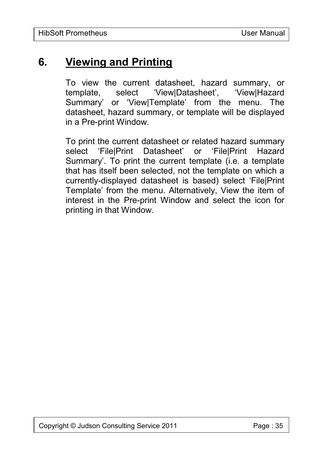# **6. Viewing and Printing**

To view the current datasheet, hazard summary, or template, select 'View|Datasheet', 'View|Hazard Summary' or 'View|Template' from the menu. The datasheet, hazard summary, or template will be displayed in a Pre-print Window.

To print the current datasheet or related hazard summary select 'File|Print Datasheet' or 'File|Print Hazard Summary'. To print the current template (i.e. a template that has itself been selected, not the template on which a currently-displayed datasheet is based) select 'File|Print Template' from the menu. Alternatively, View the item of interest in the Pre-print Window and select the icon for printing in that Window.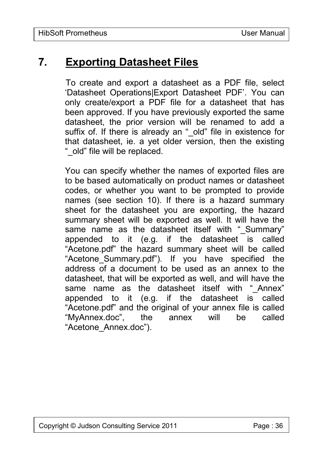# **7. Exporting Datasheet Files**

To create and export a datasheet as a PDF file, select 'Datasheet Operations|Export Datasheet PDF'. You can only create/export a PDF file for a datasheet that has been approved. If you have previously exported the same datasheet, the prior version will be renamed to add a suffix of. If there is already an " old" file in existence for that datasheet, ie. a yet older version, then the existing "\_old" file will be replaced.

You can specify whether the names of exported files are to be based automatically on product names or datasheet codes, or whether you want to be prompted to provide names (see section 10). If there is a hazard summary sheet for the datasheet you are exporting, the hazard summary sheet will be exported as well. It will have the same name as the datasheet itself with " Summary" appended to it (e.g. if the datasheet is called "Acetone.pdf" the hazard summary sheet will be called "Acetone\_Summary.pdf"). If you have specified the address of a document to be used as an annex to the datasheet, that will be exported as well, and will have the same name as the datasheet itself with " Annex" appended to it (e.g. if the datasheet is called "Acetone.pdf" and the original of your annex file is called "MyAnnex.doc", the annex will be called "Acetone\_Annex.doc").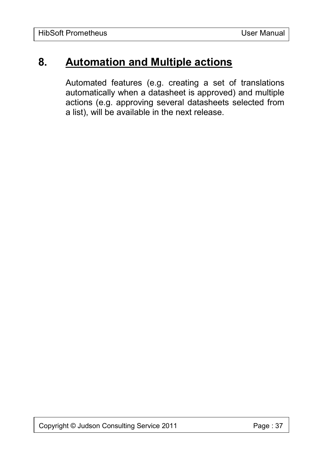# **8. Automation and Multiple actions**

Automated features (e.g. creating a set of translations automatically when a datasheet is approved) and multiple actions (e.g. approving several datasheets selected from a list), will be available in the next release.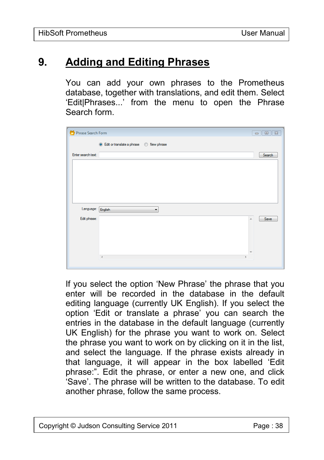# **9. Adding and Editing Phrases**

You can add your own phrases to the Prometheus database, together with translations, and edit them. Select 'Edit|Phrases...' from the menu to open the Phrase Search form.

| Phrase Search Form |                                           | $\Sigma$<br>$\begin{array}{c c c c c c} \hline \multicolumn{3}{c }{\textbf{a}} & \multicolumn{3}{c }{\textbf{b}} \\ \hline \multicolumn{3}{c }{\textbf{b}} & \multicolumn{3}{c }{\textbf{c}} \\ \hline \multicolumn{3}{c }{\textbf{b}} & \multicolumn{3}{c }{\textbf{c}} \\ \hline \multicolumn{3}{c }{\textbf{c}} & \multicolumn{3}{c }{\textbf{d}} \\ \hline \multicolumn{3}{c }{\textbf{d}} & \multicolumn{3}{c }{\textbf{d}} \\ \hline \multicolumn{3}{c }{\textbf{b$ |
|--------------------|-------------------------------------------|---------------------------------------------------------------------------------------------------------------------------------------------------------------------------------------------------------------------------------------------------------------------------------------------------------------------------------------------------------------------------------------------------------------------------------------------------------------------------|
|                    | ● Edit or translate a phrase ● New phrase |                                                                                                                                                                                                                                                                                                                                                                                                                                                                           |
| Enter search text: |                                           | Search                                                                                                                                                                                                                                                                                                                                                                                                                                                                    |
|                    |                                           |                                                                                                                                                                                                                                                                                                                                                                                                                                                                           |
|                    |                                           |                                                                                                                                                                                                                                                                                                                                                                                                                                                                           |
|                    |                                           |                                                                                                                                                                                                                                                                                                                                                                                                                                                                           |
|                    |                                           |                                                                                                                                                                                                                                                                                                                                                                                                                                                                           |
| Language: English  | $\overline{\phantom{a}}$                  |                                                                                                                                                                                                                                                                                                                                                                                                                                                                           |
| Edit phrase:       |                                           | Save<br>$\blacktriangle$                                                                                                                                                                                                                                                                                                                                                                                                                                                  |
|                    |                                           |                                                                                                                                                                                                                                                                                                                                                                                                                                                                           |
|                    |                                           |                                                                                                                                                                                                                                                                                                                                                                                                                                                                           |
|                    |                                           |                                                                                                                                                                                                                                                                                                                                                                                                                                                                           |
|                    | $\blacktriangleleft$                      |                                                                                                                                                                                                                                                                                                                                                                                                                                                                           |

If you select the option 'New Phrase' the phrase that you enter will be recorded in the database in the default editing language (currently UK English). If you select the option 'Edit or translate a phrase' you can search the entries in the database in the default language (currently UK English) for the phrase you want to work on. Select the phrase you want to work on by clicking on it in the list, and select the language. If the phrase exists already in that language, it will appear in the box labelled 'Edit phrase:". Edit the phrase, or enter a new one, and click 'Save'. The phrase will be written to the database. To edit another phrase, follow the same process.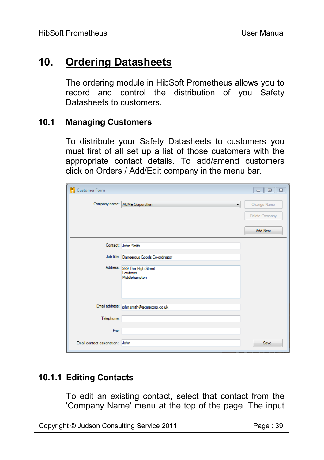# **10. Ordering Datasheets**

The ordering module in HibSoft Prometheus allows you to record and control the distribution of you Safety Datasheets to customers.

#### **10.1 Managing Customers**

To distribute your Safety Datasheets to customers you must first of all set up a list of those customers with the appropriate contact details. To add/amend customers click on Orders / Add/Edit company in the menu bar.

| Customer Form              |                                                          | $\mathbb{R}$<br>$\Box$<br>$\qquad \qquad \Box$ |
|----------------------------|----------------------------------------------------------|------------------------------------------------|
|                            | Company name: ACME Corporation<br>۰                      | Change Name<br>Delete Company<br>Add New       |
|                            | Contact: John Smith                                      |                                                |
|                            | Job title: Dangerous Goods Co-ordinator                  |                                                |
|                            | Address: 999 The High Street<br>Lowtown<br>Middlehampton |                                                |
|                            | Email address: john.smith@acmecorp.co.uk                 |                                                |
| Telephone:                 |                                                          |                                                |
| Fax:                       |                                                          |                                                |
| Email contact assignation: | John                                                     | Save                                           |

## **10.1.1 Editing Contacts**

To edit an existing contact, select that contact from the 'Company Name' menu at the top of the page. The input

Copyright © Judson Consulting Service 2011 Page : 39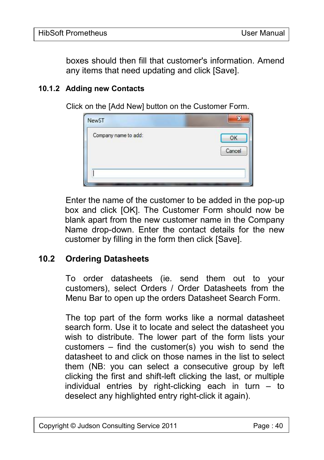boxes should then fill that customer's information. Amend any items that need updating and click [Save].

#### **10.1.2 Adding new Contacts**

Click on the [Add New] button on the Customer Form.

| NewST                | 32           |
|----------------------|--------------|
| Company name to add: | OK<br>Cancel |
|                      |              |

Enter the name of the customer to be added in the pop-up box and click [OK]. The Customer Form should now be blank apart from the new customer name in the Company Name drop-down. Enter the contact details for the new customer by filling in the form then click [Save].

#### **10.2 Ordering Datasheets**

To order datasheets (ie. send them out to your customers), select Orders / Order Datasheets from the Menu Bar to open up the orders Datasheet Search Form.

The top part of the form works like a normal datasheet search form. Use it to locate and select the datasheet you wish to distribute. The lower part of the form lists your customers – find the customer(s) you wish to send the datasheet to and click on those names in the list to select them (NB: you can select a consecutive group by left clicking the first and shift-left clicking the last, or multiple individual entries by right-clicking each in turn  $-$  to deselect any highlighted entry right-click it again).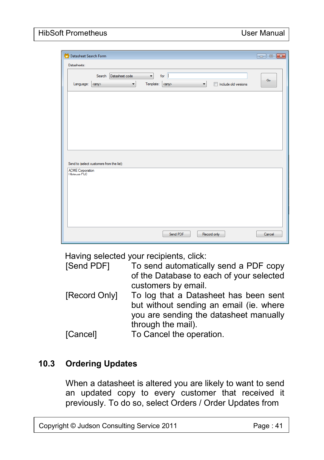#### HibSoft Prometheus **National Struck Community** User Manual

| Datasheet Search Form                                                                                                                           |        |
|-------------------------------------------------------------------------------------------------------------------------------------------------|--------|
| Datasheets:                                                                                                                                     |        |
| for<br>Datasheet code<br>$\blacktriangledown$<br>Search<br>Language: <any><br/>Template: <any><br/>Include old versions<br/>▼<br/>▼</any></any> | Go     |
|                                                                                                                                                 |        |
|                                                                                                                                                 |        |
|                                                                                                                                                 |        |
| Send to (select customers from the list):                                                                                                       |        |
| <b>ACME Corporation</b><br>Hibiscus PLC                                                                                                         |        |
|                                                                                                                                                 |        |
|                                                                                                                                                 |        |
|                                                                                                                                                 |        |
| Send PDF<br>Record only                                                                                                                         | Cancel |

Having selected your recipients, click:

| [Send PDF] | To send automatically send a PDF copy    |
|------------|------------------------------------------|
|            | of the Database to each of your selected |
|            | customers by email.                      |

- [Record Only] To log that a Datasheet has been sent but without sending an email (ie. where you are sending the datasheet manually through the mail).
- [Cancel] To Cancel the operation.

#### **10.3 Ordering Updates**

When a datasheet is altered you are likely to want to send an updated copy to every customer that received it previously. To do so, select Orders / Order Updates from

Copyright © Judson Consulting Service 2011 Page : 41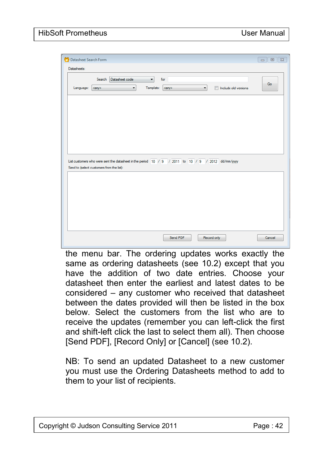| Datasheet Search Form                                                                                                                                                                             | $\Box$<br>$\Sigma$<br>$\equiv$ |
|---------------------------------------------------------------------------------------------------------------------------------------------------------------------------------------------------|--------------------------------|
| Datasheets:                                                                                                                                                                                       |                                |
| Datasheet code<br>Search<br>$\blacktriangledown$<br>for<br>Template:<br>Language: <any><br/><math display="inline">\blacktriangledown</math><br/><any><br/>Imclude old versions<br/>▼</any></any> | Go                             |
|                                                                                                                                                                                                   |                                |
|                                                                                                                                                                                                   |                                |
|                                                                                                                                                                                                   |                                |
| List customers who were sent the datasheet in the period 10 / 9 / 2011 to 10 / 9 / 2012 dd/mm/yyyy<br>Send to (select customers from the list):                                                   |                                |
|                                                                                                                                                                                                   |                                |
|                                                                                                                                                                                                   |                                |
|                                                                                                                                                                                                   |                                |
|                                                                                                                                                                                                   |                                |
| Send PDF<br>Record only                                                                                                                                                                           | Cancel                         |

the menu bar. The ordering updates works exactly the same as ordering datasheets (see 10.2) except that you have the addition of two date entries. Choose your datasheet then enter the earliest and latest dates to be considered – any customer who received that datasheet between the dates provided will then be listed in the box below. Select the customers from the list who are to receive the updates (remember you can left-click the first and shift-left click the last to select them all). Then choose [Send PDF], [Record Only] or [Cancel] (see 10.2).

NB: To send an updated Datasheet to a new customer you must use the Ordering Datasheets method to add to them to your list of recipients.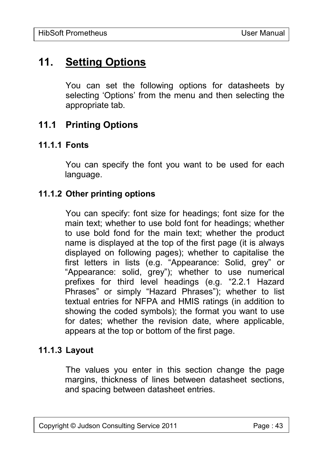# **11. Setting Options**

You can set the following options for datasheets by selecting 'Options' from the menu and then selecting the appropriate tab.

## **11.1 Printing Options**

#### **11.1.1 Fonts**

You can specify the font you want to be used for each language.

#### **11.1.2 Other printing options**

You can specify: font size for headings; font size for the main text; whether to use bold font for headings; whether to use bold fond for the main text; whether the product name is displayed at the top of the first page (it is always displayed on following pages); whether to capitalise the first letters in lists (e.g. "Appearance: Solid, grey" or "Appearance: solid, grey"); whether to use numerical prefixes for third level headings (e.g. "2.2.1 Hazard Phrases" or simply "Hazard Phrases"); whether to list textual entries for NFPA and HMIS ratings (in addition to showing the coded symbols); the format you want to use for dates; whether the revision date, where applicable, appears at the top or bottom of the first page.

#### **11.1.3 Layout**

The values you enter in this section change the page margins, thickness of lines between datasheet sections, and spacing between datasheet entries.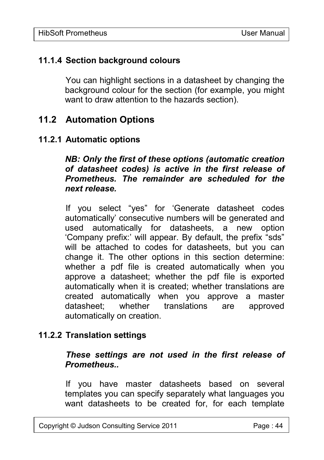#### **11.1.4 Section background colours**

You can highlight sections in a datasheet by changing the background colour for the section (for example, you might want to draw attention to the hazards section).

## **11.2 Automation Options**

#### **11.2.1 Automatic options**

*NB: Only the first of these options (automatic creation of datasheet codes) is active in the first release of Prometheus. The remainder are scheduled for the next release.*

If you select "yes" for 'Generate datasheet codes automatically' consecutive numbers will be generated and used automatically for datasheets, a new option 'Company prefix:' will appear. By default, the prefix "sds" will be attached to codes for datasheets, but you can change it. The other options in this section determine: whether a pdf file is created automatically when you approve a datasheet; whether the pdf file is exported automatically when it is created; whether translations are created automatically when you approve a master datasheet; whether translations are approved automatically on creation.

#### **11.2.2 Translation settings**

#### *These settings are not used in the first release of Prometheus..*

If you have master datasheets based on several templates you can specify separately what languages you want datasheets to be created for, for each template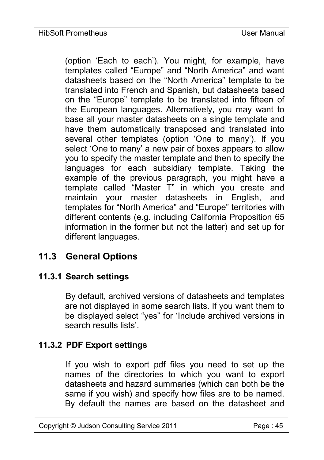(option 'Each to each'). You might, for example, have templates called "Europe" and "North America" and want datasheets based on the "North America" template to be translated into French and Spanish, but datasheets based on the "Europe" template to be translated into fifteen of the European languages. Alternatively, you may want to base all your master datasheets on a single template and have them automatically transposed and translated into several other templates (option 'One to many'). If you select 'One to many' a new pair of boxes appears to allow you to specify the master template and then to specify the languages for each subsidiary template. Taking the example of the previous paragraph, you might have a template called "Master T" in which you create and maintain your master datasheets in English, and templates for "North America" and "Europe" territories with different contents (e.g. including California Proposition 65 information in the former but not the latter) and set up for different languages.

# **11.3 General Options**

## **11.3.1 Search settings**

By default, archived versions of datasheets and templates are not displayed in some search lists. If you want them to be displayed select "yes" for 'Include archived versions in search results lists'

#### **11.3.2 PDF Export settings**

If you wish to export pdf files you need to set up the names of the directories to which you want to export datasheets and hazard summaries (which can both be the same if you wish) and specify how files are to be named. By default the names are based on the datasheet and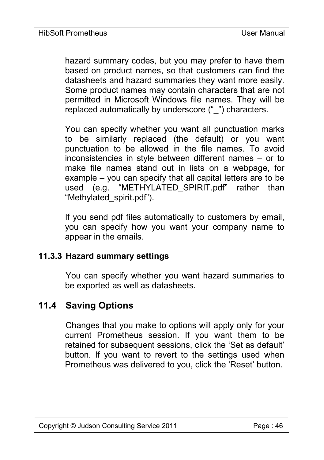hazard summary codes, but you may prefer to have them based on product names, so that customers can find the datasheets and hazard summaries they want more easily. Some product names may contain characters that are not permitted in Microsoft Windows file names. They will be replaced automatically by underscore (" ") characters.

You can specify whether you want all punctuation marks to be similarly replaced (the default) or you want punctuation to be allowed in the file names. To avoid inconsistencies in style between different names – or to make file names stand out in lists on a webpage, for example – you can specify that all capital letters are to be used (e.g. "METHYLATED SPIRIT.pdf" rather than "Methylated\_spirit.pdf").

If you send pdf files automatically to customers by email, you can specify how you want your company name to appear in the emails.

#### **11.3.3 Hazard summary settings**

You can specify whether you want hazard summaries to be exported as well as datasheets.

# **11.4 Saving Options**

Changes that you make to options will apply only for your current Prometheus session. If you want them to be retained for subsequent sessions, click the 'Set as default' button. If you want to revert to the settings used when Prometheus was delivered to you, click the 'Reset' button.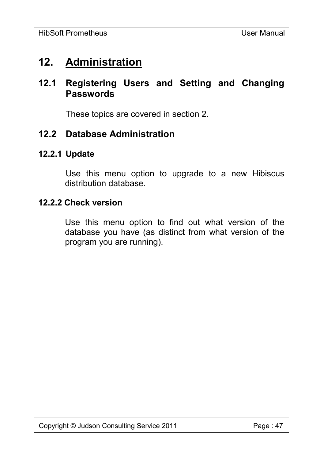# **12. Administration**

# **12.1 Registering Users and Setting and Changing Passwords**

These topics are covered in section 2.

## **12.2 Database Administration**

#### **12.2.1 Update**

Use this menu option to upgrade to a new Hibiscus distribution database.

#### **12.2.2 Check version**

Use this menu option to find out what version of the database you have (as distinct from what version of the program you are running).